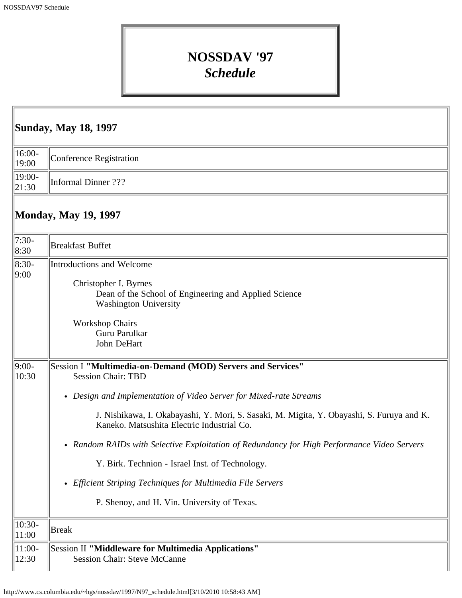## **NOSSDAV '97** *Schedule*

| <b>Sunday, May 18, 1997</b>             |                                                                                                                                                                                                                                                                                                                                                                                                                                                                                                                                                                           |  |
|-----------------------------------------|---------------------------------------------------------------------------------------------------------------------------------------------------------------------------------------------------------------------------------------------------------------------------------------------------------------------------------------------------------------------------------------------------------------------------------------------------------------------------------------------------------------------------------------------------------------------------|--|
| $16:00-$<br>19:00                       | <b>Conference Registration</b>                                                                                                                                                                                                                                                                                                                                                                                                                                                                                                                                            |  |
| 19:00-<br> 21:30                        | <b>Informal Dinner</b> ???                                                                                                                                                                                                                                                                                                                                                                                                                                                                                                                                                |  |
|                                         | <b>Monday, May 19, 1997</b>                                                                                                                                                                                                                                                                                                                                                                                                                                                                                                                                               |  |
| $7:30-$<br>8:30                         | <b>Breakfast Buffet</b>                                                                                                                                                                                                                                                                                                                                                                                                                                                                                                                                                   |  |
| $ 8:30-$<br> 9:00                       | Introductions and Welcome<br>Christopher I. Byrnes<br>Dean of the School of Engineering and Applied Science<br>Washington University<br><b>Workshop Chairs</b><br>Guru Parulkar<br>John DeHart                                                                                                                                                                                                                                                                                                                                                                            |  |
| $9:00-$<br>10:30                        | Session I "Multimedia-on-Demand (MOD) Servers and Services"<br><b>Session Chair: TBD</b><br>• Design and Implementation of Video Server for Mixed-rate Streams<br>J. Nishikawa, I. Okabayashi, Y. Mori, S. Sasaki, M. Migita, Y. Obayashi, S. Furuya and K.<br>Kaneko. Matsushita Electric Industrial Co.<br>• Random RAIDs with Selective Exploitation of Redundancy for High Performance Video Servers<br>Y. Birk. Technion - Israel Inst. of Technology.<br>• Efficient Striping Techniques for Multimedia File Servers<br>P. Shenoy, and H. Vin. University of Texas. |  |
| $10:30-$<br>11:00<br>$ 11:00-$<br>12:30 | <b>Break</b><br>Session II "Middleware for Multimedia Applications"<br><b>Session Chair: Steve McCanne</b>                                                                                                                                                                                                                                                                                                                                                                                                                                                                |  |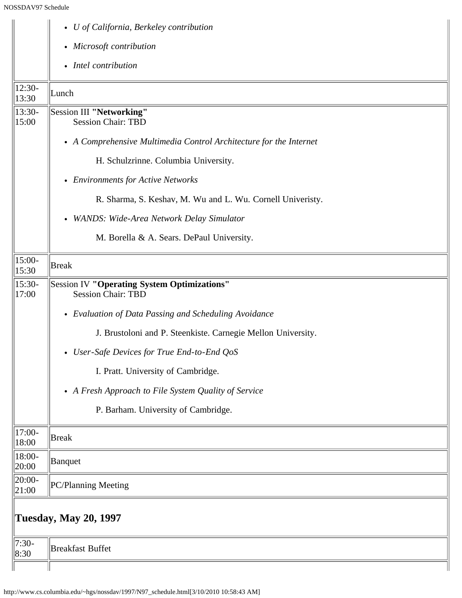|                     | • U of California, Berkeley contribution                                        |
|---------------------|---------------------------------------------------------------------------------|
|                     | • Microsoft contribution                                                        |
|                     | • Intel contribution                                                            |
| $12:30-$<br>13:30   | Lunch                                                                           |
| $13:30-$<br>15:00   | Session III "Networking"<br><b>Session Chair: TBD</b>                           |
|                     | • A Comprehensive Multimedia Control Architecture for the Internet              |
|                     | H. Schulzrinne. Columbia University.                                            |
|                     | • Environments for Active Networks                                              |
|                     | R. Sharma, S. Keshav, M. Wu and L. Wu. Cornell Univeristy.                      |
|                     | • WANDS: Wide-Area Network Delay Simulator                                      |
|                     | M. Borella & A. Sears. DePaul University.                                       |
| $15:00-$<br>15:30   | <b>Break</b>                                                                    |
| $15:30-$<br>17:00   | <b>Session IV "Operating System Optimizations"</b><br><b>Session Chair: TBD</b> |
|                     | • Evaluation of Data Passing and Scheduling Avoidance                           |
|                     | J. Brustoloni and P. Steenkiste. Carnegie Mellon University.                    |
|                     | • User-Safe Devices for True End-to-End QoS                                     |
|                     | I. Pratt. University of Cambridge.                                              |
|                     | • A Fresh Approach to File System Quality of Service                            |
|                     | P. Barham. University of Cambridge.                                             |
| $17:00-$<br>18:00   | <b>Break</b>                                                                    |
| 18:00-<br>20:00     | Banquet                                                                         |
| $ 20:00-$<br> 21:00 | PC/Planning Meeting                                                             |
|                     | <b>Tuesday, May 20, 1997</b>                                                    |
| $7:30-$<br> 8:30    | <b>Breakfast Buffet</b>                                                         |
|                     |                                                                                 |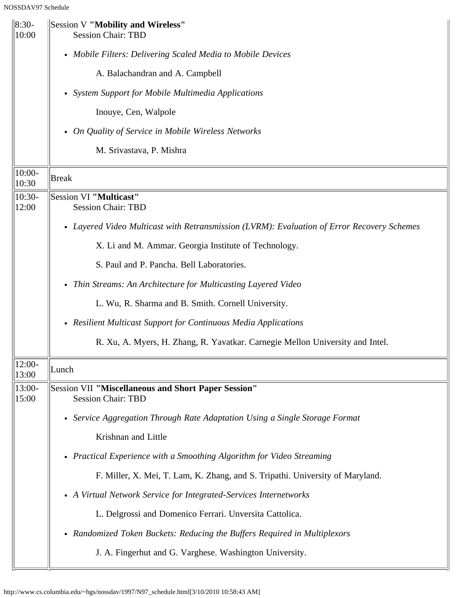| $\ 8:30 -$<br>10:00 | Session V "Mobility and Wireless"<br><b>Session Chair: TBD</b>                             |
|---------------------|--------------------------------------------------------------------------------------------|
|                     | • Mobile Filters: Delivering Scaled Media to Mobile Devices                                |
|                     | A. Balachandran and A. Campbell                                                            |
|                     | • System Support for Mobile Multimedia Applications                                        |
|                     | Inouye, Cen, Walpole                                                                       |
|                     | • On Quality of Service in Mobile Wireless Networks                                        |
|                     | M. Srivastava, P. Mishra                                                                   |
| $10:00-$<br>10:30   | Break                                                                                      |
| $10:30-$<br>12:00   | Session VI "Multicast"<br><b>Session Chair: TBD</b>                                        |
|                     | • Layered Video Multicast with Retransmission (LVRM): Evaluation of Error Recovery Schemes |
|                     | X. Li and M. Ammar. Georgia Institute of Technology.                                       |
|                     | S. Paul and P. Pancha. Bell Laboratories.                                                  |
|                     | • Thin Streams: An Architecture for Multicasting Layered Video                             |
|                     | L. Wu, R. Sharma and B. Smith. Cornell University.                                         |
|                     | • Resilient Multicast Support for Continuous Media Applications                            |
|                     | R. Xu, A. Myers, H. Zhang, R. Yavatkar. Carnegie Mellon University and Intel.              |
| 12:00-<br>13:00     | Lunch                                                                                      |
| 13:00-<br>15:00     | Session VII "Miscellaneous and Short Paper Session"<br><b>Session Chair: TBD</b>           |
|                     | • Service Aggregation Through Rate Adaptation Using a Single Storage Format                |
|                     | Krishnan and Little                                                                        |
|                     | • Practical Experience with a Smoothing Algorithm for Video Streaming                      |
|                     | F. Miller, X. Mei, T. Lam, K. Zhang, and S. Tripathi. University of Maryland.              |
|                     | • A Virtual Network Service for Integrated-Services Internetworks                          |
|                     | L. Delgrossi and Domenico Ferrari. Unversita Cattolica.                                    |
|                     | • Randomized Token Buckets: Reducing the Buffers Required in Multiplexors                  |
|                     | J. A. Fingerhut and G. Varghese. Washington University.                                    |